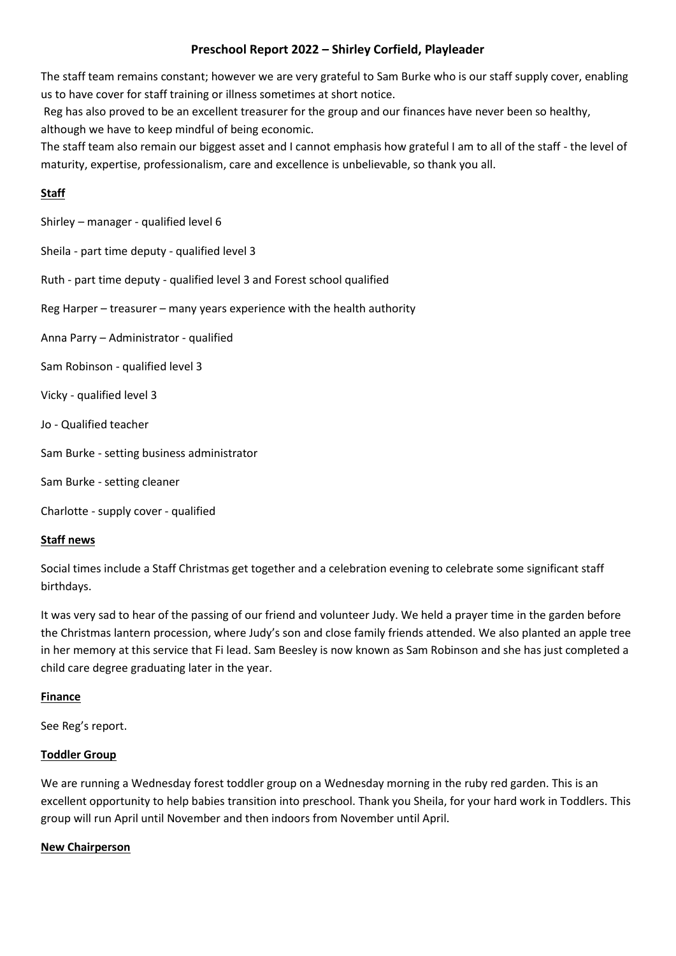# **Preschool Report 2022 – Shirley Corfield, Playleader**

The staff team remains constant; however we are very grateful to Sam Burke who is our staff supply cover, enabling us to have cover for staff training or illness sometimes at short notice.

Reg has also proved to be an excellent treasurer for the group and our finances have never been so healthy, although we have to keep mindful of being economic.

The staff team also remain our biggest asset and I cannot emphasis how grateful I am to all of the staff - the level of maturity, expertise, professionalism, care and excellence is unbelievable, so thank you all.

# **Staff**

Shirley – manager - qualified level 6

Sheila - part time deputy - qualified level 3

Ruth - part time deputy - qualified level 3 and Forest school qualified

Reg Harper – treasurer – many years experience with the health authority

Anna Parry – Administrator - qualified

- Sam Robinson qualified level 3
- Vicky qualified level 3
- Jo Qualified teacher
- Sam Burke setting business administrator
- Sam Burke setting cleaner
- Charlotte supply cover qualified

# **Staff news**

Social times include a Staff Christmas get together and a celebration evening to celebrate some significant staff birthdays.

It was very sad to hear of the passing of our friend and volunteer Judy. We held a prayer time in the garden before the Christmas lantern procession, where Judy's son and close family friends attended. We also planted an apple tree in her memory at this service that Fi lead. Sam Beesley is now known as Sam Robinson and she has just completed a child care degree graduating later in the year.

# **Finance**

See Reg's report.

# **Toddler Group**

We are running a Wednesday forest toddler group on a Wednesday morning in the ruby red garden. This is an excellent opportunity to help babies transition into preschool. Thank you Sheila, for your hard work in Toddlers. This group will run April until November and then indoors from November until April.

### **New Chairperson**